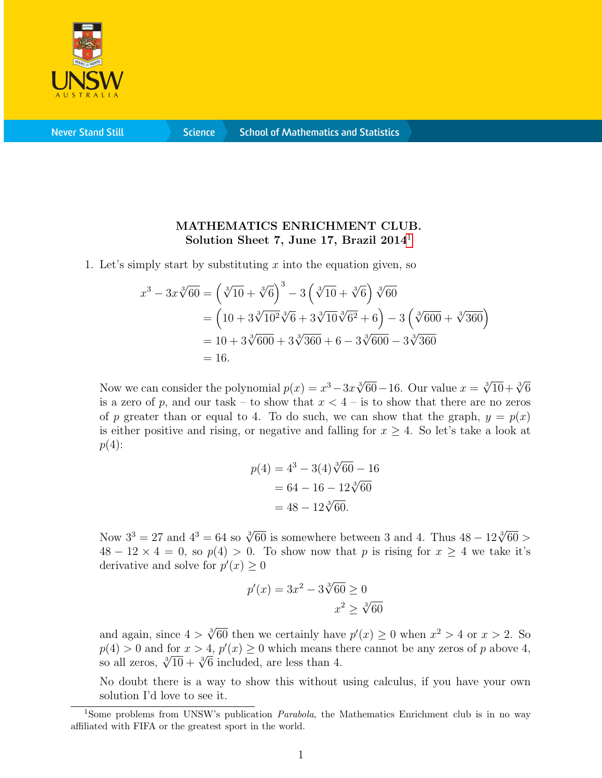

**Never Stand Still** 

**Science** 

## MATHEMATICS ENRICHMENT CLUB. Solution Sheet 7, June [1](#page-0-0)7, Brazil  $2014<sup>1</sup>$

1. Let's simply start by substituting x into the equation given, so

$$
x^3 - 3x\sqrt[3]{60} = \left(\sqrt[3]{10} + \sqrt[3]{6}\right)^3 - 3\left(\sqrt[3]{10} + \sqrt[3]{6}\right)\sqrt[3]{60}
$$
  
=  $\left(10 + 3\sqrt[3]{10^2}\sqrt[3]{6} + 3\sqrt[3]{10}\sqrt[3]{6^2} + 6\right) - 3\left(\sqrt[3]{600} + \sqrt[3]{360}\right)$   
=  $10 + 3\sqrt[3]{600} + 3\sqrt[3]{360} + 6 - 3\sqrt[3]{600} - 3\sqrt[3]{360}$   
= 16.

Now we can consider the polynomial  $p(x) = x^3 - 3x\sqrt[3]{60} - 16$ . Our value  $x = \sqrt[3]{10} + \sqrt[3]{6}$ is a zero of p, and our task – to show that  $x < 4$  – is to show that there are no zeros of p greater than or equal to 4. To do such, we can show that the graph,  $y = p(x)$ is either positive and rising, or negative and falling for  $x \geq 4$ . So let's take a look at  $p(4)$ :

$$
p(4) = 43 - 3(4)\sqrt[3]{60} - 16
$$

$$
= 64 - 16 - 12\sqrt[3]{60}
$$

$$
= 48 - 12\sqrt[3]{60}.
$$

Now  $3^3 = 27$  and  $4^3 = 64$  so  $\sqrt[3]{60}$  is somewhere between 3 and 4. Thus  $48 - 12\sqrt[3]{60} >$  $48 - 12 \times 4 = 0$ , so  $p(4) > 0$ . To show now that p is rising for  $x \ge 4$  we take it's derivative and solve for  $p'(x) \geq 0$ 

$$
p'(x) = 3x^2 - 3\sqrt[3]{60} \ge 0
$$
  

$$
x^2 \ge \sqrt[3]{60}
$$

and again, since  $4 > \sqrt[3]{60}$  then we certainly have  $p'(x) \ge 0$  when  $x^2 > 4$  or  $x > 2$ . So  $p(4) > 0$  and for  $x > 4$ ,  $p'(x) \ge 0$  which means there cannot be any zeros of p above 4,  $p(4) > 0$  and for  $x > 4$ ,  $p(x) \ge 0$  which means the so all zeros,  $\sqrt[3]{10} + \sqrt[3]{6}$  included, are less than 4.

No doubt there is a way to show this without using calculus, if you have your own solution I'd love to see it.

<span id="page-0-0"></span><sup>&</sup>lt;sup>1</sup>Some problems from UNSW's publication *Parabola*, the Mathematics Enrichment club is in no way affiliated with FIFA or the greatest sport in the world.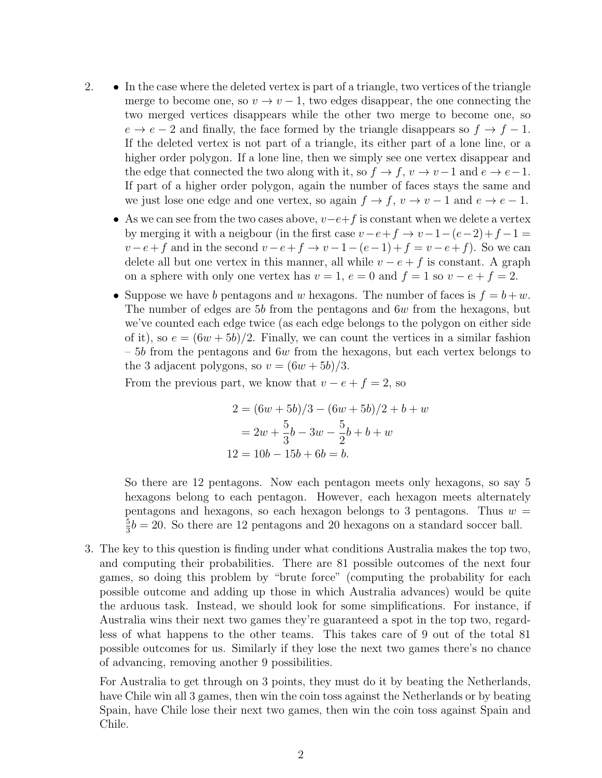- 2. In the case where the deleted vertex is part of a triangle, two vertices of the triangle merge to become one, so  $v \to v - 1$ , two edges disappear, the one connecting the two merged vertices disappears while the other two merge to become one, so  $e \rightarrow e-2$  and finally, the face formed by the triangle disappears so  $f \rightarrow f-1$ . If the deleted vertex is not part of a triangle, its either part of a lone line, or a higher order polygon. If a lone line, then we simply see one vertex disappear and the edge that connected the two along with it, so  $f \to f$ ,  $v \to v-1$  and  $e \to e-1$ . If part of a higher order polygon, again the number of faces stays the same and we just lose one edge and one vertex, so again  $f \to f$ ,  $v \to v - 1$  and  $e \to e - 1$ .
	- As we can see from the two cases above,  $v-e+f$  is constant when we delete a vertex by merging it with a neigbour (in the first case  $v-e+f \rightarrow v-1-(e-2)+f-1=$  $v-e+f$  and in the second  $v-e+f \rightarrow v-1-(e-1)+f=v-e+f$ ). So we can delete all but one vertex in this manner, all while  $v - e + f$  is constant. A graph on a sphere with only one vertex has  $v = 1$ ,  $e = 0$  and  $f = 1$  so  $v - e + f = 2$ .
	- Suppose we have b pentagons and w hexagons. The number of faces is  $f = b + w$ . The number of edges are 5b from the pentagons and  $6w$  from the hexagons, but we've counted each edge twice (as each edge belongs to the polygon on either side of it), so  $e = (6w + 5b)/2$ . Finally, we can count the vertices in a similar fashion  $-5b$  from the pentagons and 6w from the hexagons, but each vertex belongs to the 3 adjacent polygons, so  $v = (6w + 5b)/3$ .

From the previous part, we know that  $v - e + f = 2$ , so

$$
2 = (6w + 5b)/3 - (6w + 5b)/2 + b + w
$$
  
=  $2w + \frac{5}{3}b - 3w - \frac{5}{2}b + b + w$   
 $12 = 10b - 15b + 6b = b.$ 

So there are 12 pentagons. Now each pentagon meets only hexagons, so say 5 hexagons belong to each pentagon. However, each hexagon meets alternately pentagons and hexagons, so each hexagon belongs to 3 pentagons. Thus  $w =$ 5  $\frac{5}{3}b = 20$ . So there are 12 pentagons and 20 hexagons on a standard soccer ball.

3. The key to this question is finding under what conditions Australia makes the top two, and computing their probabilities. There are 81 possible outcomes of the next four games, so doing this problem by "brute force" (computing the probability for each possible outcome and adding up those in which Australia advances) would be quite the arduous task. Instead, we should look for some simplifications. For instance, if Australia wins their next two games they're guaranteed a spot in the top two, regardless of what happens to the other teams. This takes care of 9 out of the total 81 possible outcomes for us. Similarly if they lose the next two games there's no chance of advancing, removing another 9 possibilities.

For Australia to get through on 3 points, they must do it by beating the Netherlands, have Chile win all 3 games, then win the coin toss against the Netherlands or by beating Spain, have Chile lose their next two games, then win the coin toss against Spain and Chile.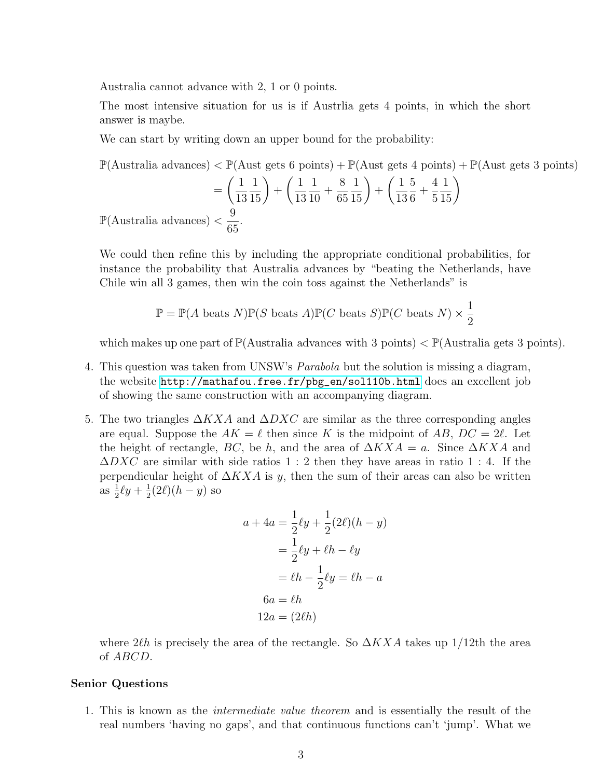Australia cannot advance with 2, 1 or 0 points.

The most intensive situation for us is if Austrlia gets 4 points, in which the short answer is maybe.

We can start by writing down an upper bound for the probability:

$$
\mathbb{P}(\text{Australia advances}) < \mathbb{P}(\text{Aust gets 6 points}) + \mathbb{P}(\text{Aust gets 4 points}) + \mathbb{P}(\text{Aust gets 3 points})
$$
\n
$$
= \left(\frac{1}{13}\frac{1}{15}\right) + \left(\frac{1}{13}\frac{1}{10} + \frac{8}{65}\frac{1}{15}\right) + \left(\frac{1}{13}\frac{5}{6} + \frac{4}{5}\frac{1}{15}\right)
$$
\n
$$
\mathbb{P}(\text{Australian advances}) < \frac{9}{65}.
$$

We could then refine this by including the appropriate conditional probabilities, for instance the probability that Australia advances by "beating the Netherlands, have Chile win all 3 games, then win the coin toss against the Netherlands" is

$$
\mathbb{P} = \mathbb{P}(A \text{ beats } N)\mathbb{P}(S \text{ beats } A)\mathbb{P}(C \text{ beats } S)\mathbb{P}(C \text{ beats } N) \times \frac{1}{2}
$$

which makes up one part of  $\mathbb{P}(\text{Australian}$  advances with 3 points)  $\lt \mathbb{P}(\text{Australian}$  gets 3 points).

- 4. This question was taken from UNSW's Parabola but the solution is missing a diagram, the website [http://mathafou.free.fr/pbg\\_en/sol110b.html](http://mathafou.free.fr/pbg_en/sol110b.html) does an excellent job of showing the same construction with an accompanying diagram.
- 5. The two triangles  $\Delta KXA$  and  $\Delta DXC$  are similar as the three corresponding angles are equal. Suppose the  $AK = \ell$  then since K is the midpoint of AB,  $DC = 2\ell$ . Let the height of rectangle, BC, be h, and the area of  $\Delta K X A = a$ . Since  $\Delta K X A$  and  $\Delta DXC$  are similar with side ratios 1 : 2 then they have areas in ratio 1 : 4. If the perpendicular height of  $\Delta K X A$  is y, then the sum of their areas can also be written as  $\frac{1}{2}\ell y + \frac{1}{2}$  $\frac{1}{2}(2\ell)(h-y)$  so

$$
a + 4a = \frac{1}{2}\ell y + \frac{1}{2}(2\ell)(h - y)
$$

$$
= \frac{1}{2}\ell y + \ell h - \ell y
$$

$$
= \ell h - \frac{1}{2}\ell y = \ell h - a
$$

$$
6a = \ell h
$$

$$
12a = (2\ell h)
$$

where 2 $\ell\hbar$  is precisely the area of the rectangle. So  $\Delta KXA$  takes up 1/12th the area of ABCD.

## Senior Questions

1. This is known as the intermediate value theorem and is essentially the result of the real numbers 'having no gaps', and that continuous functions can't 'jump'. What we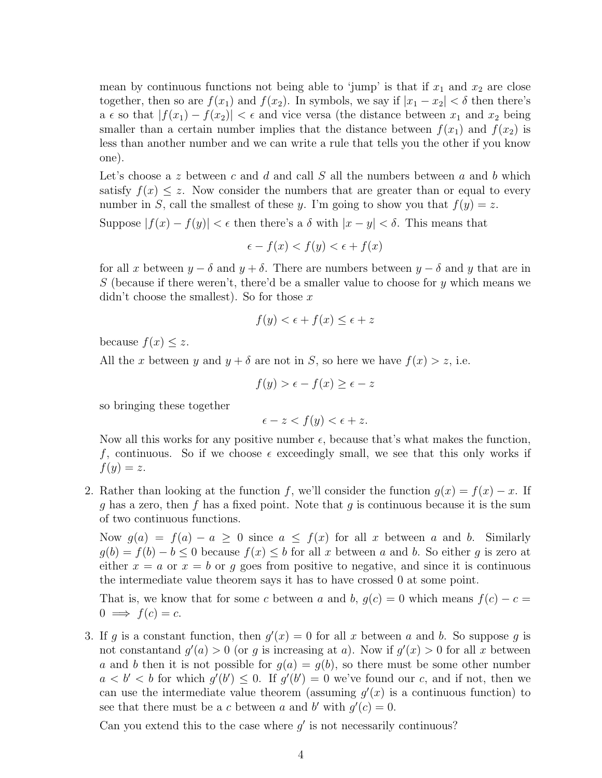mean by continuous functions not being able to 'jump' is that if  $x_1$  and  $x_2$  are close together, then so are  $f(x_1)$  and  $f(x_2)$ . In symbols, we say if  $|x_1 - x_2| < \delta$  then there's a  $\epsilon$  so that  $|f(x_1) - f(x_2)| < \epsilon$  and vice versa (the distance between  $x_1$  and  $x_2$  being smaller than a certain number implies that the distance between  $f(x_1)$  and  $f(x_2)$  is less than another number and we can write a rule that tells you the other if you know one).

Let's choose a z between c and d and call S all the numbers between a and b which satisfy  $f(x) \leq z$ . Now consider the numbers that are greater than or equal to every number in S, call the smallest of these y. I'm going to show you that  $f(y) = z$ .

Suppose  $|f(x) - f(y)| < \epsilon$  then there's a  $\delta$  with  $|x - y| < \delta$ . This means that

$$
\epsilon - f(x) < f(y) < \epsilon + f(x)
$$

for all x between  $y - \delta$  and  $y + \delta$ . There are numbers between  $y - \delta$  and y that are in S (because if there weren't, there'd be a smaller value to choose for y which means we didn't choose the smallest). So for those  $x$ 

$$
f(y) < \epsilon + f(x) \le \epsilon + z
$$

because  $f(x) \leq z$ .

All the x between y and  $y + \delta$  are not in S, so here we have  $f(x) > z$ , i.e.

 $f(y) > \epsilon - f(x) > \epsilon - z$ 

so bringing these together

$$
\epsilon - z < f(y) < \epsilon + z.
$$

Now all this works for any positive number  $\epsilon$ , because that's what makes the function, f, continuous. So if we choose  $\epsilon$  exceedingly small, we see that this only works if  $f(y) = z$ .

2. Rather than looking at the function f, we'll consider the function  $g(x) = f(x) - x$ . If q has a zero, then f has a fixed point. Note that q is continuous because it is the sum of two continuous functions.

Now  $g(a) = f(a) - a \ge 0$  since  $a \le f(x)$  for all x between a and b. Similarly  $g(b) = f(b) - b \leq 0$  because  $f(x) \leq b$  for all x between a and b. So either g is zero at either  $x = a$  or  $x = b$  or q goes from positive to negative, and since it is continuous the intermediate value theorem says it has to have crossed 0 at some point.

That is, we know that for some c between a and b,  $g(c) = 0$  which means  $f(c) - c =$  $0 \implies f(c) = c.$ 

3. If g is a constant function, then  $g'(x) = 0$  for all x between a and b. So suppose g is not constant and  $g'(a) > 0$  (or g is increasing at a). Now if  $g'(x) > 0$  for all x between a and b then it is not possible for  $g(a) = g(b)$ , so there must be some other number  $a < b' < b$  for which  $g'(b') \leq 0$ . If  $g'(b') = 0$  we've found our c, and if not, then we can use the intermediate value theorem (assuming  $g'(x)$  is a continuous function) to see that there must be a c between a and b' with  $g'(c) = 0$ .

Can you extend this to the case where  $g'$  is not necessarily continuous?